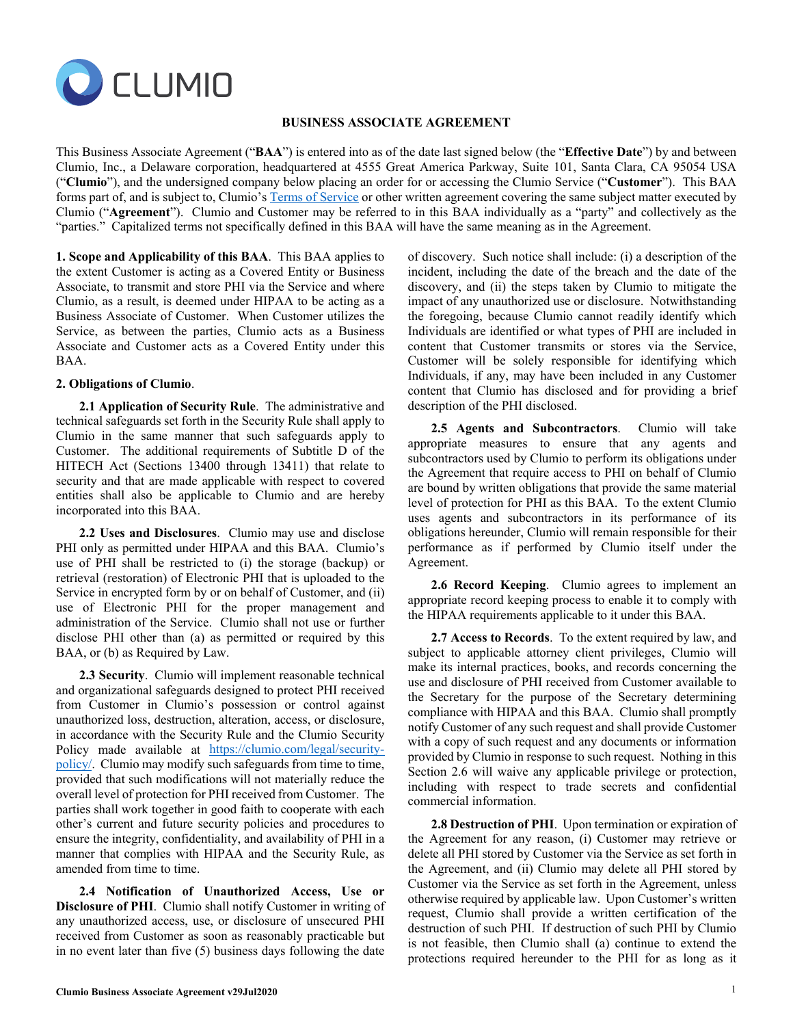

## **BUSINESS ASSOCIATE AGREEMENT**

This Business Associate Agreement ("**BAA**") is entered into as of the date last signed below (the "**Effective Date**") by and between Clumio, Inc., a Delaware corporation, headquartered at 4555 Great America Parkway, Suite 101, Santa Clara, CA 95054 USA ("**Clumio**"), and the undersigned company below placing an order for or accessing the Clumio Service ("**Customer**"). This BAA forms part of, and is subject to, Clumio'[s Terms of Service](https://clumio.com/terms-of-service/) or other written agreement covering the same subject matter executed by Clumio ("**Agreement**"). Clumio and Customer may be referred to in this BAA individually as a "party" and collectively as the "parties." Capitalized terms not specifically defined in this BAA will have the same meaning as in the Agreement.

**1. Scope and Applicability of this BAA**. This BAA applies to the extent Customer is acting as a Covered Entity or Business Associate, to transmit and store PHI via the Service and where Clumio, as a result, is deemed under HIPAA to be acting as a Business Associate of Customer. When Customer utilizes the Service, as between the parties, Clumio acts as a Business Associate and Customer acts as a Covered Entity under this BAA.

## **2. Obligations of Clumio**.

**2.1 Application of Security Rule**. The administrative and technical safeguards set forth in the Security Rule shall apply to Clumio in the same manner that such safeguards apply to Customer. The additional requirements of Subtitle D of the HITECH Act (Sections 13400 through 13411) that relate to security and that are made applicable with respect to covered entities shall also be applicable to Clumio and are hereby incorporated into this BAA.

**2.2 Uses and Disclosures**. Clumio may use and disclose PHI only as permitted under HIPAA and this BAA. Clumio's use of PHI shall be restricted to (i) the storage (backup) or retrieval (restoration) of Electronic PHI that is uploaded to the Service in encrypted form by or on behalf of Customer, and (ii) use of Electronic PHI for the proper management and administration of the Service. Clumio shall not use or further disclose PHI other than (a) as permitted or required by this BAA, or (b) as Required by Law.

**2.3 Security**. Clumio will implement reasonable technical and organizational safeguards designed to protect PHI received from Customer in Clumio's possession or control against unauthorized loss, destruction, alteration, access, or disclosure, in accordance with the Security Rule and the Clumio Security Policy made available at [https://clumio.com/legal/security](https://clumio.com/legal/security-policy/)[policy/.](https://clumio.com/legal/security-policy/) Clumio may modify such safeguards from time to time, provided that such modifications will not materially reduce the overall level of protection for PHI received from Customer. The parties shall work together in good faith to cooperate with each other's current and future security policies and procedures to ensure the integrity, confidentiality, and availability of PHI in a manner that complies with HIPAA and the Security Rule, as amended from time to time.

**2.4 Notification of Unauthorized Access, Use or Disclosure of PHI**. Clumio shall notify Customer in writing of any unauthorized access, use, or disclosure of unsecured PHI received from Customer as soon as reasonably practicable but in no event later than five (5) business days following the date

of discovery. Such notice shall include: (i) a description of the incident, including the date of the breach and the date of the discovery, and (ii) the steps taken by Clumio to mitigate the impact of any unauthorized use or disclosure. Notwithstanding the foregoing, because Clumio cannot readily identify which Individuals are identified or what types of PHI are included in content that Customer transmits or stores via the Service, Customer will be solely responsible for identifying which Individuals, if any, may have been included in any Customer content that Clumio has disclosed and for providing a brief description of the PHI disclosed.

**2.5 Agents and Subcontractors**. Clumio will take appropriate measures to ensure that any agents and subcontractors used by Clumio to perform its obligations under the Agreement that require access to PHI on behalf of Clumio are bound by written obligations that provide the same material level of protection for PHI as this BAA. To the extent Clumio uses agents and subcontractors in its performance of its obligations hereunder, Clumio will remain responsible for their performance as if performed by Clumio itself under the Agreement.

**2.6 Record Keeping**. Clumio agrees to implement an appropriate record keeping process to enable it to comply with the HIPAA requirements applicable to it under this BAA.

**2.7 Access to Records**. To the extent required by law, and subject to applicable attorney client privileges, Clumio will make its internal practices, books, and records concerning the use and disclosure of PHI received from Customer available to the Secretary for the purpose of the Secretary determining compliance with HIPAA and this BAA. Clumio shall promptly notify Customer of any such request and shall provide Customer with a copy of such request and any documents or information provided by Clumio in response to such request. Nothing in this Section 2.6 will waive any applicable privilege or protection, including with respect to trade secrets and confidential commercial information.

**2.8 Destruction of PHI**. Upon termination or expiration of the Agreement for any reason, (i) Customer may retrieve or delete all PHI stored by Customer via the Service as set forth in the Agreement, and (ii) Clumio may delete all PHI stored by Customer via the Service as set forth in the Agreement, unless otherwise required by applicable law. Upon Customer's written request, Clumio shall provide a written certification of the destruction of such PHI. If destruction of such PHI by Clumio is not feasible, then Clumio shall (a) continue to extend the protections required hereunder to the PHI for as long as it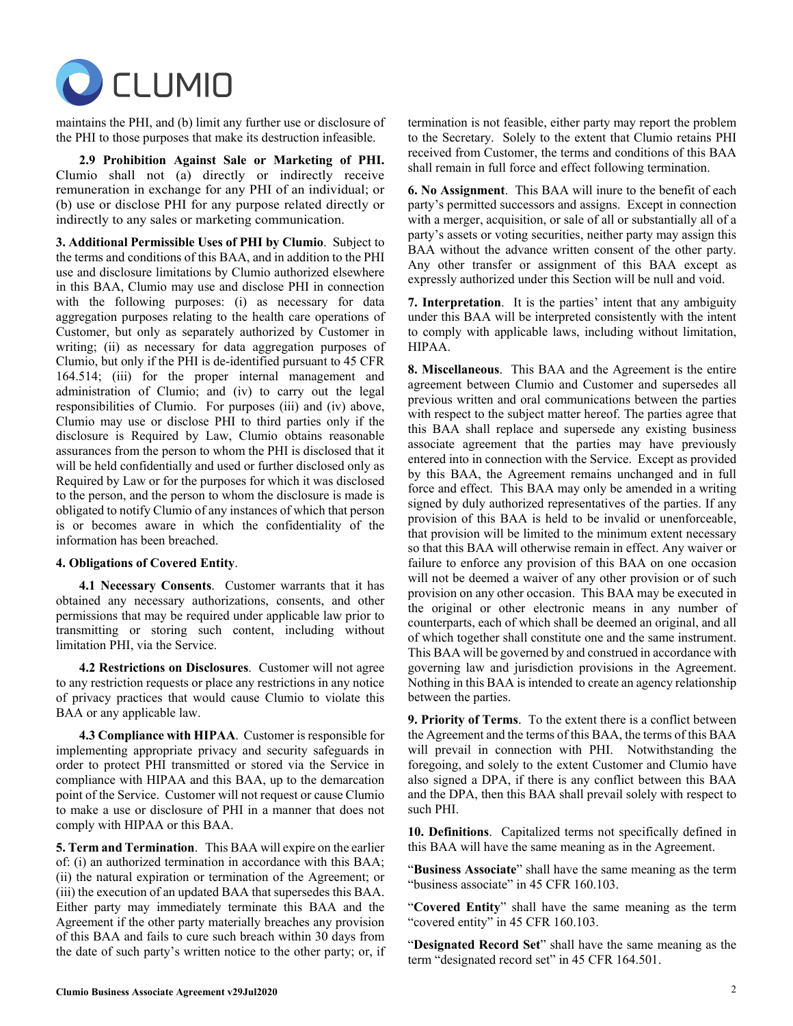

maintains the PHI, and (b) limit any further use or disclosure of the PHI to those purposes that make its destruction infeasible.

**2.9 Prohibition Against Sale or Marketing of PHI.** Clumio shall not (a) directly or indirectly receive remuneration in exchange for any PHI of an individual; or (b) use or disclose PHI for any purpose related directly or indirectly to any sales or marketing communication.

**3. Additional Permissible Uses of PHI by Clumio**. Subject to the terms and conditions of this BAA, and in addition to the PHI use and disclosure limitations by Clumio authorized elsewhere in this BAA, Clumio may use and disclose PHI in connection with the following purposes: (i) as necessary for data aggregation purposes relating to the health care operations of Customer, but only as separately authorized by Customer in writing; (ii) as necessary for data aggregation purposes of Clumio, but only if the PHI is de-identified pursuant to 45 CFR 164.514; (iii) for the proper internal management and administration of Clumio; and (iv) to carry out the legal responsibilities of Clumio. For purposes (iii) and (iv) above, Clumio may use or disclose PHI to third parties only if the disclosure is Required by Law, Clumio obtains reasonable assurances from the person to whom the PHI is disclosed that it will be held confidentially and used or further disclosed only as Required by Law or for the purposes for which it was disclosed to the person, and the person to whom the disclosure is made is obligated to notify Clumio of any instances of which that person is or becomes aware in which the confidentiality of the information has been breached.

## **4. Obligations of Covered Entity**.

**4.1 Necessary Consents**. Customer warrants that it has obtained any necessary authorizations, consents, and other permissions that may be required under applicable law prior to transmitting or storing such content, including without limitation PHI, via the Service.

**4.2 Restrictions on Disclosures**. Customer will not agree to any restriction requests or place any restrictions in any notice of privacy practices that would cause Clumio to violate this BAA or any applicable law.

**4.3 Compliance with HIPAA**. Customer is responsible for implementing appropriate privacy and security safeguards in order to protect PHI transmitted or stored via the Service in compliance with HIPAA and this BAA, up to the demarcation point of the Service. Customer will not request or cause Clumio to make a use or disclosure of PHI in a manner that does not comply with HIPAA or this BAA.

**5. Term and Termination**. This BAA will expire on the earlier of: (i) an authorized termination in accordance with this BAA; (ii) the natural expiration or termination of the Agreement; or (iii) the execution of an updated BAA that supersedes this BAA. Either party may immediately terminate this BAA and the Agreement if the other party materially breaches any provision of this BAA and fails to cure such breach within 30 days from the date of such party's written notice to the other party; or, if termination is not feasible, either party may report the problem to the Secretary. Solely to the extent that Clumio retains PHI received from Customer, the terms and conditions of this BAA shall remain in full force and effect following termination.

**6. No Assignment**. This BAA will inure to the benefit of each party's permitted successors and assigns. Except in connection with a merger, acquisition, or sale of all or substantially all of a party's assets or voting securities, neither party may assign this BAA without the advance written consent of the other party. Any other transfer or assignment of this BAA except as expressly authorized under this Section will be null and void.

**7. Interpretation**. It is the parties' intent that any ambiguity under this BAA will be interpreted consistently with the intent to comply with applicable laws, including without limitation, HIPAA.

**8. Miscellaneous**. This BAA and the Agreement is the entire agreement between Clumio and Customer and supersedes all previous written and oral communications between the parties with respect to the subject matter hereof. The parties agree that this BAA shall replace and supersede any existing business associate agreement that the parties may have previously entered into in connection with the Service. Except as provided by this BAA, the Agreement remains unchanged and in full force and effect. This BAA may only be amended in a writing signed by duly authorized representatives of the parties. If any provision of this BAA is held to be invalid or unenforceable, that provision will be limited to the minimum extent necessary so that this BAA will otherwise remain in effect. Any waiver or failure to enforce any provision of this BAA on one occasion will not be deemed a waiver of any other provision or of such provision on any other occasion. This BAA may be executed in the original or other electronic means in any number of counterparts, each of which shall be deemed an original, and all of which together shall constitute one and the same instrument. This BAA will be governed by and construed in accordance with governing law and jurisdiction provisions in the Agreement. Nothing in this BAA is intended to create an agency relationship between the parties.

**9. Priority of Terms**. To the extent there is a conflict between the Agreement and the terms of this BAA, the terms of this BAA will prevail in connection with PHI. Notwithstanding the foregoing, and solely to the extent Customer and Clumio have also signed a DPA, if there is any conflict between this BAA and the DPA, then this BAA shall prevail solely with respect to such PHI.

**10. Definitions**. Capitalized terms not specifically defined in this BAA will have the same meaning as in the Agreement.

"**Business Associate**" shall have the same meaning as the term "business associate" in 45 CFR 160.103.

"**Covered Entity**" shall have the same meaning as the term "covered entity" in 45 CFR 160.103.

"**Designated Record Set**" shall have the same meaning as the term "designated record set" in 45 CFR 164.501.